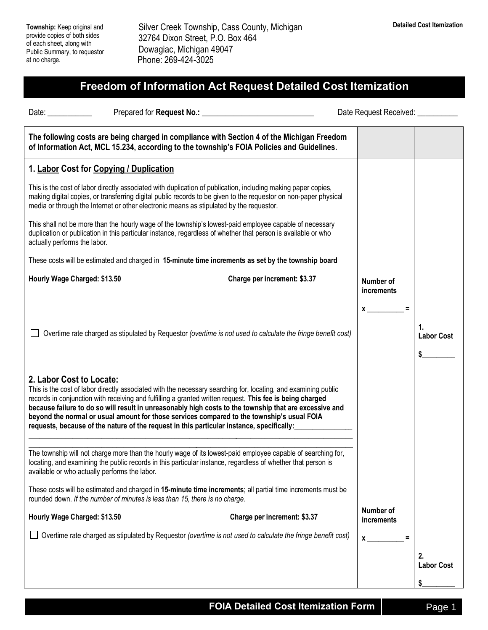**Township:** Keep original and provide copies of both sides of each sheet, along with Public Summary, to requestor at no charge.

 Silver Creek Township, Cass County, Michigan 32764 Dixon Street, P.O. Box 464 Dowagiac, Michigan 49047 Phone: 269-424-3025

## **Freedom of Information Act Request Detailed Cost Itemization**

| Date: and the state of the state of the state of the state of the state of the state of the state of the state of the state of the state of the state of the state of the state of the state of the state of the state of the |                                                                                                                                                                                                                                                                                                                                                                                                                                                                                                                                  |                              | Date Request Received: <b>National Property</b> |                               |
|-------------------------------------------------------------------------------------------------------------------------------------------------------------------------------------------------------------------------------|----------------------------------------------------------------------------------------------------------------------------------------------------------------------------------------------------------------------------------------------------------------------------------------------------------------------------------------------------------------------------------------------------------------------------------------------------------------------------------------------------------------------------------|------------------------------|-------------------------------------------------|-------------------------------|
|                                                                                                                                                                                                                               | The following costs are being charged in compliance with Section 4 of the Michigan Freedom<br>of Information Act, MCL 15.234, according to the township's FOIA Policies and Guidelines.                                                                                                                                                                                                                                                                                                                                          |                              |                                                 |                               |
| 1. Labor Cost for Copying / Duplication                                                                                                                                                                                       |                                                                                                                                                                                                                                                                                                                                                                                                                                                                                                                                  |                              |                                                 |                               |
|                                                                                                                                                                                                                               | This is the cost of labor directly associated with duplication of publication, including making paper copies,<br>making digital copies, or transferring digital public records to be given to the requestor on non-paper physical<br>media or through the Internet or other electronic means as stipulated by the requestor.                                                                                                                                                                                                     |                              |                                                 |                               |
| actually performs the labor.                                                                                                                                                                                                  | This shall not be more than the hourly wage of the township's lowest-paid employee capable of necessary<br>duplication or publication in this particular instance, regardless of whether that person is available or who                                                                                                                                                                                                                                                                                                         |                              |                                                 |                               |
|                                                                                                                                                                                                                               | These costs will be estimated and charged in 15-minute time increments as set by the township board                                                                                                                                                                                                                                                                                                                                                                                                                              |                              |                                                 |                               |
| Hourly Wage Charged: \$13.50                                                                                                                                                                                                  |                                                                                                                                                                                                                                                                                                                                                                                                                                                                                                                                  | Charge per increment: \$3.37 | Number of<br>increments                         |                               |
|                                                                                                                                                                                                                               | Overtime rate charged as stipulated by Requestor (overtime is not used to calculate the fringe benefit cost)                                                                                                                                                                                                                                                                                                                                                                                                                     |                              | $\boldsymbol{\mathsf{x}}$                       | 1.<br><b>Labor Cost</b><br>\$ |
| 2. Labor Cost to Locate:                                                                                                                                                                                                      | This is the cost of labor directly associated with the necessary searching for, locating, and examining public<br>records in conjunction with receiving and fulfilling a granted written request. This fee is being charged<br>because failure to do so will result in unreasonably high costs to the township that are excessive and<br>beyond the normal or usual amount for those services compared to the township's usual FOIA<br>requests, because of the nature of the request in this particular instance, specifically: |                              |                                                 |                               |
| available or who actually performs the labor.                                                                                                                                                                                 | The township will not charge more than the hourly wage of its lowest-paid employee capable of searching for,<br>locating, and examining the public records in this particular instance, regardless of whether that person is                                                                                                                                                                                                                                                                                                     |                              |                                                 |                               |
|                                                                                                                                                                                                                               | These costs will be estimated and charged in 15-minute time increments; all partial time increments must be<br>rounded down. If the number of minutes is less than 15, there is no charge.                                                                                                                                                                                                                                                                                                                                       |                              |                                                 |                               |
| Hourly Wage Charged: \$13.50                                                                                                                                                                                                  |                                                                                                                                                                                                                                                                                                                                                                                                                                                                                                                                  | Charge per increment: \$3.37 | Number of<br>increments                         |                               |
|                                                                                                                                                                                                                               | Overtime rate charged as stipulated by Requestor (overtime is not used to calculate the fringe benefit cost)                                                                                                                                                                                                                                                                                                                                                                                                                     |                              | $\boldsymbol{\mathsf{X}}$                       |                               |
|                                                                                                                                                                                                                               |                                                                                                                                                                                                                                                                                                                                                                                                                                                                                                                                  |                              |                                                 | 2.<br><b>Labor Cost</b>       |
|                                                                                                                                                                                                                               |                                                                                                                                                                                                                                                                                                                                                                                                                                                                                                                                  |                              |                                                 | \$                            |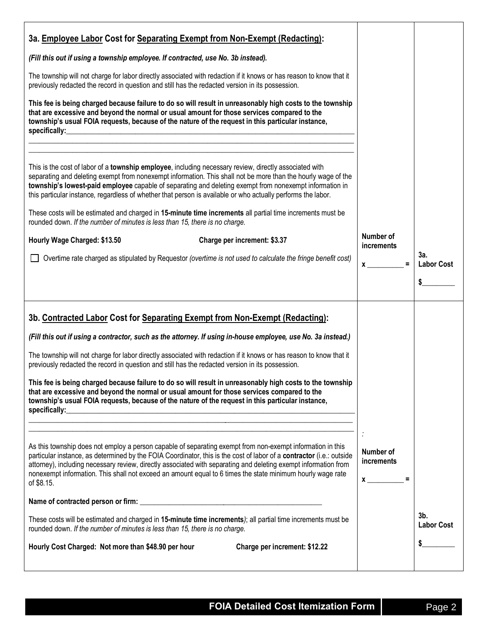| 3a. Employee Labor Cost for Separating Exempt from Non-Exempt (Redacting):                                                                                                                                                                                                                                                                                                                                                                                                                                                                                                                                                                                                                                                               |                                          |                             |
|------------------------------------------------------------------------------------------------------------------------------------------------------------------------------------------------------------------------------------------------------------------------------------------------------------------------------------------------------------------------------------------------------------------------------------------------------------------------------------------------------------------------------------------------------------------------------------------------------------------------------------------------------------------------------------------------------------------------------------------|------------------------------------------|-----------------------------|
| (Fill this out if using a township employee. If contracted, use No. 3b instead).                                                                                                                                                                                                                                                                                                                                                                                                                                                                                                                                                                                                                                                         |                                          |                             |
| The township will not charge for labor directly associated with redaction if it knows or has reason to know that it<br>previously redacted the record in question and still has the redacted version in its possession.                                                                                                                                                                                                                                                                                                                                                                                                                                                                                                                  |                                          |                             |
| This fee is being charged because failure to do so will result in unreasonably high costs to the township<br>that are excessive and beyond the normal or usual amount for those services compared to the<br>township's usual FOIA requests, because of the nature of the request in this particular instance,                                                                                                                                                                                                                                                                                                                                                                                                                            |                                          |                             |
| This is the cost of labor of a township employee, including necessary review, directly associated with<br>separating and deleting exempt from nonexempt information. This shall not be more than the hourly wage of the<br>township's lowest-paid employee capable of separating and deleting exempt from nonexempt information in<br>this particular instance, regardless of whether that person is available or who actually performs the labor.                                                                                                                                                                                                                                                                                       |                                          |                             |
| These costs will be estimated and charged in 15-minute time increments all partial time increments must be<br>rounded down. If the number of minutes is less than 15, there is no charge.                                                                                                                                                                                                                                                                                                                                                                                                                                                                                                                                                |                                          |                             |
| Hourly Wage Charged: \$13.50<br>Charge per increment: \$3.37                                                                                                                                                                                                                                                                                                                                                                                                                                                                                                                                                                                                                                                                             | Number of<br><i>increments</i>           |                             |
| Overtime rate charged as stipulated by Requestor (overtime is not used to calculate the fringe benefit cost)                                                                                                                                                                                                                                                                                                                                                                                                                                                                                                                                                                                                                             | $x \underline{\hspace{1cm}}$<br>$\equiv$ | 3а.<br><b>Labor Cost</b>    |
|                                                                                                                                                                                                                                                                                                                                                                                                                                                                                                                                                                                                                                                                                                                                          |                                          | \$                          |
| 3b. Contracted Labor Cost for Separating Exempt from Non-Exempt (Redacting):<br>(Fill this out if using a contractor, such as the attorney. If using in-house employee, use No. 3a instead.)<br>The township will not charge for labor directly associated with redaction if it knows or has reason to know that it<br>previously redacted the record in question and still has the redacted version in its possession.<br>This fee is being charged because failure to do so will result in unreasonably high costs to the township<br>that are excessive and beyond the normal or usual amount for those services compared to the<br>township's usual FOIA requests, because of the nature of the request in this particular instance, |                                          |                             |
| As this township does not employ a person capable of separating exempt from non-exempt information in this<br>particular instance, as determined by the FOIA Coordinator, this is the cost of labor of a contractor (i.e.: outside<br>attorney), including necessary review, directly associated with separating and deleting exempt information from<br>nonexempt information. This shall not exceed an amount equal to 6 times the state minimum hourly wage rate<br>of \$8.15.                                                                                                                                                                                                                                                        | Number of<br>increments<br>$x \sim$ =    |                             |
| These costs will be estimated and charged in 15-minute time increments); all partial time increments must be                                                                                                                                                                                                                                                                                                                                                                                                                                                                                                                                                                                                                             |                                          | $3b$ .<br><b>Labor Cost</b> |
| rounded down. If the number of minutes is less than 15, there is no charge.<br>Hourly Cost Charged: Not more than \$48.90 per hour<br>Charge per increment: \$12.22                                                                                                                                                                                                                                                                                                                                                                                                                                                                                                                                                                      |                                          |                             |
|                                                                                                                                                                                                                                                                                                                                                                                                                                                                                                                                                                                                                                                                                                                                          |                                          |                             |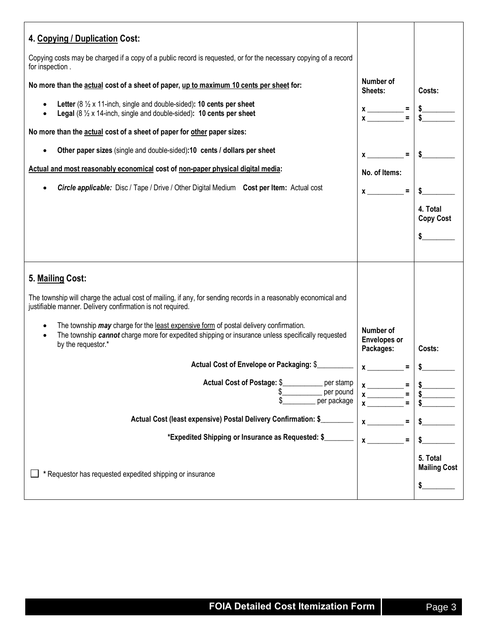| 4. Copying / Duplication Cost:<br>Copying costs may be charged if a copy of a public record is requested, or for the necessary copying of a record<br>for inspection.                                                                                                                                                                                                                                                                                                                                                                                                                                    |                                                                                                                                                                                                                                                                                                                                                                                                                                                                                                                     |                                       |
|----------------------------------------------------------------------------------------------------------------------------------------------------------------------------------------------------------------------------------------------------------------------------------------------------------------------------------------------------------------------------------------------------------------------------------------------------------------------------------------------------------------------------------------------------------------------------------------------------------|---------------------------------------------------------------------------------------------------------------------------------------------------------------------------------------------------------------------------------------------------------------------------------------------------------------------------------------------------------------------------------------------------------------------------------------------------------------------------------------------------------------------|---------------------------------------|
| No more than the actual cost of a sheet of paper, up to maximum 10 cents per sheet for:<br>Letter ( $8\frac{1}{2}$ x 11-inch, single and double-sided): 10 cents per sheet<br>Legal $(8 \frac{1}{2} \times 14$ -inch, single and double-sided): 10 cents per sheet<br>No more than the actual cost of a sheet of paper for other paper sizes:<br>Other paper sizes (single and double-sided):10 cents / dollars per sheet<br>Actual and most reasonably economical cost of non-paper physical digital media:<br>Circle applicable: Disc / Tape / Drive / Other Digital Medium Cost per Item: Actual cost | Number of<br>Sheets:<br>$x \rightarrow x$ =<br>$=$<br>$\boldsymbol{\mathsf{X}}$ and $\boldsymbol{\mathsf{X}}$ and $\boldsymbol{\mathsf{X}}$ and $\boldsymbol{\mathsf{X}}$ are set of $\boldsymbol{\mathsf{X}}$ and $\boldsymbol{\mathsf{X}}$ and $\boldsymbol{\mathsf{X}}$ are set of $\boldsymbol{\mathsf{X}}$ and $\boldsymbol{\mathsf{X}}$ are set of $\boldsymbol{\mathsf{X}}$ and $\boldsymbol{\mathsf{X}}$ are set of $\boldsymbol{\mathsf{X}}$ and<br>No. of Items:<br>$\equiv$<br>$\boldsymbol{\mathsf{X}}$ | Costs:<br>4. Total                    |
|                                                                                                                                                                                                                                                                                                                                                                                                                                                                                                                                                                                                          |                                                                                                                                                                                                                                                                                                                                                                                                                                                                                                                     | <b>Copy Cost</b><br>\$                |
| 5. Mailing Cost:<br>The township will charge the actual cost of mailing, if any, for sending records in a reasonably economical and<br>justifiable manner. Delivery confirmation is not required.                                                                                                                                                                                                                                                                                                                                                                                                        |                                                                                                                                                                                                                                                                                                                                                                                                                                                                                                                     |                                       |
| The township may charge for the least expensive form of postal delivery confirmation.<br>$\bullet$<br>The township cannot charge more for expedited shipping or insurance unless specifically requested<br>$\bullet$<br>by the requestor.*                                                                                                                                                                                                                                                                                                                                                               | Number of<br><b>Envelopes or</b><br>Packages:                                                                                                                                                                                                                                                                                                                                                                                                                                                                       | Costs:                                |
| Actual Cost of Envelope or Packaging: \$<br>Actual Cost of Postage: \$<br>per stamp<br>per pound<br>per package                                                                                                                                                                                                                                                                                                                                                                                                                                                                                          | x<br>$\equiv$<br>$x$ <sub>____</sub>                                                                                                                                                                                                                                                                                                                                                                                                                                                                                | \$                                    |
| Actual Cost (least expensive) Postal Delivery Confirmation: \$<br>*Expedited Shipping or Insurance as Requested: \$                                                                                                                                                                                                                                                                                                                                                                                                                                                                                      | $\equiv$<br>$\boldsymbol{x}$<br>$x \overline{\phantom{a}}$<br>$\equiv$                                                                                                                                                                                                                                                                                                                                                                                                                                              |                                       |
| * Requestor has requested expedited shipping or insurance                                                                                                                                                                                                                                                                                                                                                                                                                                                                                                                                                |                                                                                                                                                                                                                                                                                                                                                                                                                                                                                                                     | 5. Total<br><b>Mailing Cost</b><br>\$ |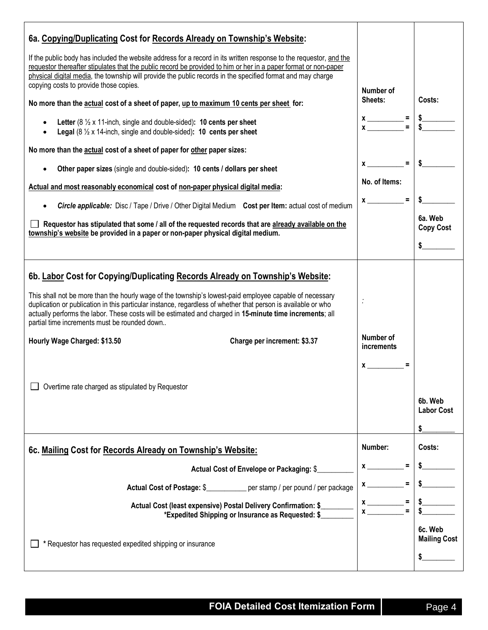| 6a. Copying/Duplicating Cost for Records Already on Township's Website:                                                                                                                                                                                                                                                                                                                                                                                                                                                                                                                   |                                                                                                                                                                                                                                                                                                                                                                                                                                                                           |                                    |
|-------------------------------------------------------------------------------------------------------------------------------------------------------------------------------------------------------------------------------------------------------------------------------------------------------------------------------------------------------------------------------------------------------------------------------------------------------------------------------------------------------------------------------------------------------------------------------------------|---------------------------------------------------------------------------------------------------------------------------------------------------------------------------------------------------------------------------------------------------------------------------------------------------------------------------------------------------------------------------------------------------------------------------------------------------------------------------|------------------------------------|
| If the public body has included the website address for a record in its written response to the requestor, and the<br>requestor thereafter stipulates that the public record be provided to him or her in a paper format or non-paper<br>physical digital media, the township will provide the public records in the specified format and may charge<br>copying costs to provide those copies.                                                                                                                                                                                            | Number of                                                                                                                                                                                                                                                                                                                                                                                                                                                                 |                                    |
| No more than the actual cost of a sheet of paper, up to maximum 10 cents per sheet for:                                                                                                                                                                                                                                                                                                                                                                                                                                                                                                   | Sheets:                                                                                                                                                                                                                                                                                                                                                                                                                                                                   | Costs:                             |
| Letter ( $8\frac{1}{2}$ x 11-inch, single and double-sided): 10 cents per sheet<br><b>Legal</b> (8 $\frac{1}{2}$ x 14-inch, single and double-sided): <b>10 cents per sheet</b>                                                                                                                                                                                                                                                                                                                                                                                                           | $x \rightarrow x$ =                                                                                                                                                                                                                                                                                                                                                                                                                                                       |                                    |
| No more than the actual cost of a sheet of paper for other paper sizes:                                                                                                                                                                                                                                                                                                                                                                                                                                                                                                                   |                                                                                                                                                                                                                                                                                                                                                                                                                                                                           |                                    |
| Other paper sizes (single and double-sided): 10 cents / dollars per sheet                                                                                                                                                                                                                                                                                                                                                                                                                                                                                                                 | $\equiv$<br>$\boldsymbol{\mathsf{x}}$ and $\boldsymbol{\mathsf{x}}$ and $\boldsymbol{\mathsf{x}}$ and $\boldsymbol{\mathsf{x}}$ and $\boldsymbol{\mathsf{x}}$ and $\boldsymbol{\mathsf{x}}$ and $\boldsymbol{\mathsf{x}}$ and $\boldsymbol{\mathsf{x}}$ and $\boldsymbol{\mathsf{x}}$ and $\boldsymbol{\mathsf{x}}$ and $\boldsymbol{\mathsf{x}}$ and $\boldsymbol{\mathsf{x}}$ and $\boldsymbol{\mathsf{x}}$ and $\boldsymbol{\mathsf{x}}$ and $\boldsymbol{\mathsf{x}}$ |                                    |
| Actual and most reasonably economical cost of non-paper physical digital media:                                                                                                                                                                                                                                                                                                                                                                                                                                                                                                           | No. of Items:                                                                                                                                                                                                                                                                                                                                                                                                                                                             |                                    |
| <b>Circle applicable:</b> Disc / Tape / Drive / Other Digital Medium Cost per Item: actual cost of medium                                                                                                                                                                                                                                                                                                                                                                                                                                                                                 | $\equiv$<br>$\boldsymbol{\mathsf{x}}$                                                                                                                                                                                                                                                                                                                                                                                                                                     |                                    |
| Requestor has stipulated that some / all of the requested records that are already available on the<br>township's website be provided in a paper or non-paper physical digital medium.                                                                                                                                                                                                                                                                                                                                                                                                    |                                                                                                                                                                                                                                                                                                                                                                                                                                                                           | 6a. Web<br><b>Copy Cost</b>        |
|                                                                                                                                                                                                                                                                                                                                                                                                                                                                                                                                                                                           |                                                                                                                                                                                                                                                                                                                                                                                                                                                                           |                                    |
| 6b. Labor Cost for Copying/Duplicating Records Already on Township's Website:<br>This shall not be more than the hourly wage of the township's lowest-paid employee capable of necessary<br>duplication or publication in this particular instance, regardless of whether that person is available or who<br>actually performs the labor. These costs will be estimated and charged in 15-minute time increments; all<br>partial time increments must be rounded down<br>Hourly Wage Charged: \$13.50<br>Charge per increment: \$3.37<br>Overtime rate charged as stipulated by Requestor | Number of<br>increments<br>$\mathbf x$                                                                                                                                                                                                                                                                                                                                                                                                                                    | 6b. Web<br><b>Labor Cost</b><br>\$ |
| 6c. Mailing Cost for Records Already on Township's Website:                                                                                                                                                                                                                                                                                                                                                                                                                                                                                                                               | Number:                                                                                                                                                                                                                                                                                                                                                                                                                                                                   | Costs:                             |
| Actual Cost of Envelope or Packaging: \$                                                                                                                                                                                                                                                                                                                                                                                                                                                                                                                                                  | =<br>$\mathbf x$ and $\mathbf x$ and $\mathbf x$ and $\mathbf x$ and $\mathbf x$ and $\mathbf x$ and $\mathbf x$ and $\mathbf x$ and $\mathbf x$ and $\mathbf x$ and $\mathbf x$ and $\mathbf x$ and $\mathbf x$ and $\mathbf x$ and $\mathbf x$ and $\mathbf x$ and $\mathbf x$ and $\mathbf x$ and $\mathbf x$ and $\mathbf x$ and                                                                                                                                      |                                    |
| Actual Cost of Postage: \$___________ per stamp / per pound / per package                                                                                                                                                                                                                                                                                                                                                                                                                                                                                                                 |                                                                                                                                                                                                                                                                                                                                                                                                                                                                           |                                    |
| Actual Cost (least expensive) Postal Delivery Confirmation: \$<br>*Expedited Shipping or Insurance as Requested: \$                                                                                                                                                                                                                                                                                                                                                                                                                                                                       |                                                                                                                                                                                                                                                                                                                                                                                                                                                                           |                                    |
| * Requestor has requested expedited shipping or insurance                                                                                                                                                                                                                                                                                                                                                                                                                                                                                                                                 |                                                                                                                                                                                                                                                                                                                                                                                                                                                                           | 6c. Web<br><b>Mailing Cost</b>     |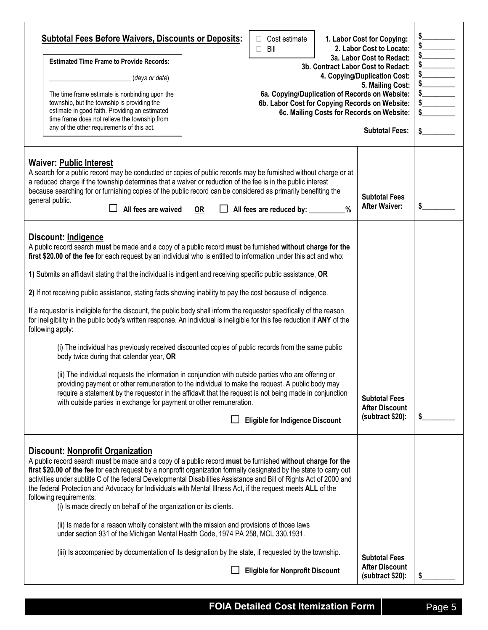| <b>Subtotal Fees Before Waivers, Discounts or Deposits:</b><br>Cost estimate<br>П<br>Bill<br><b>Estimated Time Frame to Provide Records:</b><br>(days or date)<br>The time frame estimate is nonbinding upon the<br>township, but the township is providing the<br>estimate in good faith. Providing an estimated<br>time frame does not relieve the township from<br>any of the other requirements of this act.                                                                                                                                                                                                                                                                                                                                                                                                                                                                                                                                                                                                                                                                                                                                                                                                                                                                                                                                           | 1. Labor Cost for Copying:<br>2. Labor Cost to Locate:<br>3a. Labor Cost to Redact:<br>3b. Contract Labor Cost to Redact:<br>4. Copying/Duplication Cost:<br>5. Mailing Cost:<br>6a. Copying/Duplication of Records on Website:<br>6b. Labor Cost for Copying Records on Website:<br>6c. Mailing Costs for Records on Website:<br><b>Subtotal Fees:</b><br>\$ |
|------------------------------------------------------------------------------------------------------------------------------------------------------------------------------------------------------------------------------------------------------------------------------------------------------------------------------------------------------------------------------------------------------------------------------------------------------------------------------------------------------------------------------------------------------------------------------------------------------------------------------------------------------------------------------------------------------------------------------------------------------------------------------------------------------------------------------------------------------------------------------------------------------------------------------------------------------------------------------------------------------------------------------------------------------------------------------------------------------------------------------------------------------------------------------------------------------------------------------------------------------------------------------------------------------------------------------------------------------------|---------------------------------------------------------------------------------------------------------------------------------------------------------------------------------------------------------------------------------------------------------------------------------------------------------------------------------------------------------------|
| <b>Waiver: Public Interest</b><br>A search for a public record may be conducted or copies of public records may be furnished without charge or at<br>a reduced charge if the township determines that a waiver or reduction of the fee is in the public interest<br>because searching for or furnishing copies of the public record can be considered as primarily benefiting the<br>general public.<br>All fees are waived<br>OR<br>All fees are reduced by: _________                                                                                                                                                                                                                                                                                                                                                                                                                                                                                                                                                                                                                                                                                                                                                                                                                                                                                    | <b>Subtotal Fees</b><br><b>After Waiver:</b><br>\$<br>$\frac{0}{0}$                                                                                                                                                                                                                                                                                           |
| Discount: Indigence<br>A public record search must be made and a copy of a public record must be furnished without charge for the<br>first \$20.00 of the fee for each request by an individual who is entitled to information under this act and who:<br>1) Submits an affidavit stating that the individual is indigent and receiving specific public assistance, OR<br>2) If not receiving public assistance, stating facts showing inability to pay the cost because of indigence.<br>If a requestor is ineligible for the discount, the public body shall inform the requestor specifically of the reason<br>for ineligibility in the public body's written response. An individual is ineligible for this fee reduction if ANY of the<br>following apply:<br>(i) The individual has previously received discounted copies of public records from the same public<br>body twice during that calendar year, OR<br>(ii) The individual requests the information in conjunction with outside parties who are offering or<br>providing payment or other remuneration to the individual to make the request. A public body may<br>require a statement by the requestor in the affidavit that the request is not being made in conjunction<br>with outside parties in exchange for payment or other remuneration.<br><b>Eligible for Indigence Discount</b> | <b>Subtotal Fees</b><br><b>After Discount</b><br>(subtract \$20):<br>\$                                                                                                                                                                                                                                                                                       |
| Discount: Nonprofit Organization<br>A public record search must be made and a copy of a public record must be furnished without charge for the<br>first \$20.00 of the fee for each request by a nonprofit organization formally designated by the state to carry out<br>activities under subtitle C of the federal Developmental Disabilities Assistance and Bill of Rights Act of 2000 and<br>the federal Protection and Advocacy for Individuals with Mental Illness Act, if the request meets ALL of the<br>following requirements:<br>(i) Is made directly on behalf of the organization or its clients.<br>(ii) Is made for a reason wholly consistent with the mission and provisions of those laws<br>under section 931 of the Michigan Mental Health Code, 1974 PA 258, MCL 330.1931.<br>(iii) Is accompanied by documentation of its designation by the state, if requested by the township.<br><b>Eligible for Nonprofit Discount</b>                                                                                                                                                                                                                                                                                                                                                                                                           | <b>Subtotal Fees</b><br><b>After Discount</b><br>(subtract \$20):                                                                                                                                                                                                                                                                                             |